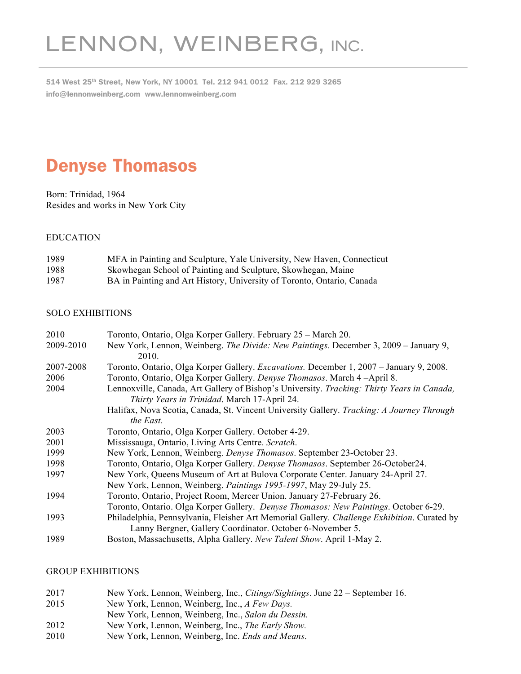# LENNON, WEINBERG, INC.

514 West 25th Street, New York, NY 10001 Tel. 212 941 0012 Fax. 212 929 3265 info@lennonweinberg.com www.lennonweinberg.com

# Denyse Thomasos

Born: Trinidad, 1964 Resides and works in New York City

# EDUCATION

| 1989 | MFA in Painting and Sculpture, Yale University, New Haven, Connecticut |
|------|------------------------------------------------------------------------|
| 1988 | Skowhegan School of Painting and Sculpture, Skowhegan, Maine           |
| 1987 | BA in Painting and Art History, University of Toronto, Ontario, Canada |

# SOLO EXHIBITIONS

| 2010      | Toronto, Ontario, Olga Korper Gallery. February 25 – March 20.                                                                                           |
|-----------|----------------------------------------------------------------------------------------------------------------------------------------------------------|
| 2009-2010 | New York, Lennon, Weinberg. The Divide: New Paintings. December 3, 2009 – January 9,                                                                     |
|           | 2010.                                                                                                                                                    |
| 2007-2008 | Toronto, Ontario, Olga Korper Gallery. Excavations. December 1, 2007 - January 9, 2008.                                                                  |
| 2006      | Toronto, Ontario, Olga Korper Gallery. Denyse Thomasos. March 4-April 8.                                                                                 |
| 2004      | Lennoxville, Canada, Art Gallery of Bishop's University. Tracking: Thirty Years in Canada,<br>Thirty Years in Trinidad. March 17-April 24.               |
|           | Halifax, Nova Scotia, Canada, St. Vincent University Gallery. Tracking: A Journey Through<br>the East.                                                   |
| 2003      | Toronto, Ontario, Olga Korper Gallery. October 4-29.                                                                                                     |
| 2001      | Mississauga, Ontario, Living Arts Centre. Scratch.                                                                                                       |
| 1999      | New York, Lennon, Weinberg. Denyse Thomasos. September 23-October 23.                                                                                    |
| 1998      | Toronto, Ontario, Olga Korper Gallery. Denyse Thomasos. September 26-October 24.                                                                         |
| 1997      | New York, Queens Museum of Art at Bulova Corporate Center. January 24-April 27.                                                                          |
|           | New York, Lennon, Weinberg. Paintings 1995-1997, May 29-July 25.                                                                                         |
| 1994      | Toronto, Ontario, Project Room, Mercer Union. January 27-February 26.                                                                                    |
|           | Toronto, Ontario. Olga Korper Gallery. Denyse Thomasos: New Paintings. October 6-29.                                                                     |
| 1993      | Philadelphia, Pennsylvania, Fleisher Art Memorial Gallery. Challenge Exhibition. Curated by<br>Lanny Bergner, Gallery Coordinator. October 6-November 5. |
| 1989      | Boston, Massachusetts, Alpha Gallery. New Talent Show. April 1-May 2.                                                                                    |

# GROUP EXHIBITIONS

- 2017 New York, Lennon, Weinberg, Inc., *Citings/Sightings*. June 22 September 16.
- 2015 New York, Lennon, Weinberg, Inc., *A Few Days.*
- New York, Lennon, Weinberg, Inc., *Salon du Dessin.*
- 2012 New York, Lennon, Weinberg, Inc., *The Early Show.*
- 2010 New York, Lennon, Weinberg, Inc. *Ends and Means*.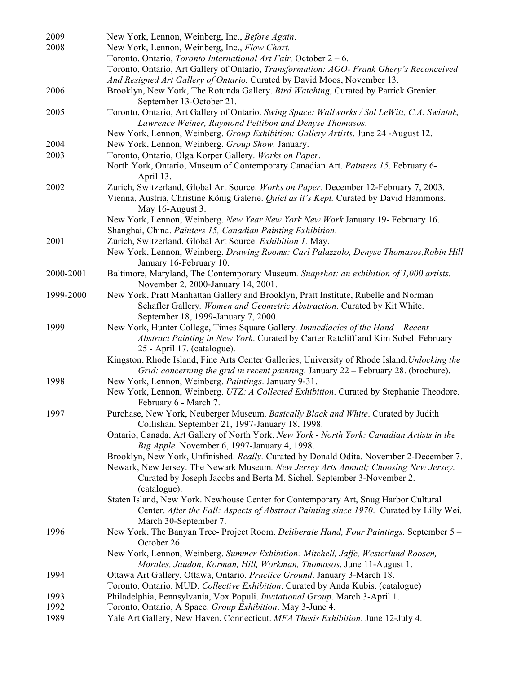| 2009         | New York, Lennon, Weinberg, Inc., Before Again.                                                                                                                                                                                                                         |
|--------------|-------------------------------------------------------------------------------------------------------------------------------------------------------------------------------------------------------------------------------------------------------------------------|
| 2008         | New York, Lennon, Weinberg, Inc., Flow Chart.<br>Toronto, Ontario, Toronto International Art Fair, October $2 - 6$ .<br>Toronto, Ontario, Art Gallery of Ontario, Transformation: AGO- Frank Ghery's Reconceived                                                        |
| 2006         | And Resigned Art Gallery of Ontario. Curated by David Moos, November 13.<br>Brooklyn, New York, The Rotunda Gallery. Bird Watching, Curated by Patrick Grenier.<br>September 13-October 21.                                                                             |
| 2005         | Toronto, Ontario, Art Gallery of Ontario. Swing Space: Wallworks / Sol LeWitt, C.A. Swintak,<br>Lawrence Weiner, Raymond Pettibon and Denyse Thomasos.                                                                                                                  |
|              | New York, Lennon, Weinberg. Group Exhibition: Gallery Artists. June 24 -August 12.                                                                                                                                                                                      |
| 2004         | New York, Lennon, Weinberg. Group Show. January.                                                                                                                                                                                                                        |
| 2003         | Toronto, Ontario, Olga Korper Gallery. Works on Paper.<br>North York, Ontario, Museum of Contemporary Canadian Art. Painters 15. February 6-<br>April 13.                                                                                                               |
| 2002         | Zurich, Switzerland, Global Art Source. Works on Paper. December 12-February 7, 2003.<br>Vienna, Austria, Christine König Galerie. Quiet as it's Kept. Curated by David Hammons.<br>May 16-August 3.                                                                    |
|              | New York, Lennon, Weinberg. New Year New York New Work January 19- February 16.<br>Shanghai, China. Painters 15, Canadian Painting Exhibition.                                                                                                                          |
| 2001         | Zurich, Switzerland, Global Art Source. Exhibition 1. May.<br>New York, Lennon, Weinberg. Drawing Rooms: Carl Palazzolo, Denyse Thomasos, Robin Hill<br>January 16-February 10.                                                                                         |
| 2000-2001    | Baltimore, Maryland, The Contemporary Museum. Snapshot: an exhibition of 1,000 artists.<br>November 2, 2000-January 14, 2001.                                                                                                                                           |
| 1999-2000    | New York, Pratt Manhattan Gallery and Brooklyn, Pratt Institute, Rubelle and Norman<br>Schafler Gallery. Women and Geometric Abstraction. Curated by Kit White.<br>September 18, 1999-January 7, 2000.                                                                  |
| 1999         | New York, Hunter College, Times Square Gallery. Immediacies of the Hand - Recent<br>Abstract Painting in New York. Curated by Carter Ratcliff and Kim Sobel. February<br>25 - April 17. (catalogue).                                                                    |
|              | Kingston, Rhode Island, Fine Arts Center Galleries, University of Rhode Island. Unlocking the<br>Grid: concerning the grid in recent painting. January 22 - February 28. (brochure).                                                                                    |
| 1998         | New York, Lennon, Weinberg. Paintings. January 9-31.<br>New York, Lennon, Weinberg. UTZ: A Collected Exhibition. Curated by Stephanie Theodore.<br>February 6 - March 7.                                                                                                |
| 1997         | Purchase, New York, Neuberger Museum. Basically Black and White. Curated by Judith<br>Collishan. September 21, 1997-January 18, 1998.                                                                                                                                   |
|              | Ontario, Canada, Art Gallery of North York. New York - North York: Canadian Artists in the<br>Big Apple. November 6, 1997-January 4, 1998.                                                                                                                              |
|              | Brooklyn, New York, Unfinished. Really. Curated by Donald Odita. November 2-December 7.<br>Newark, New Jersey. The Newark Museum. New Jersey Arts Annual; Choosing New Jersey.<br>Curated by Joseph Jacobs and Berta M. Sichel. September 3-November 2.<br>(catalogue). |
|              | Staten Island, New York. Newhouse Center for Contemporary Art, Snug Harbor Cultural<br>Center. After the Fall: Aspects of Abstract Painting since 1970. Curated by Lilly Wei.<br>March 30-September 7.                                                                  |
| 1996         | New York, The Banyan Tree- Project Room. Deliberate Hand, Four Paintings. September 5 -<br>October 26.                                                                                                                                                                  |
|              | New York, Lennon, Weinberg. Summer Exhibition: Mitchell, Jaffe, Westerlund Roosen,<br>Morales, Jaudon, Korman, Hill, Workman, Thomasos. June 11-August 1.                                                                                                               |
| 1994         | Ottawa Art Gallery, Ottawa, Ontario. Practice Ground. January 3-March 18.                                                                                                                                                                                               |
|              | Toronto, Ontario, MUD. Collective Exhibition. Curated by Anda Kubis. (catalogue)                                                                                                                                                                                        |
| 1993         | Philadelphia, Pennsylvania, Vox Populi. <i>Invitational Group</i> . March 3-April 1.                                                                                                                                                                                    |
| 1992<br>1989 | Toronto, Ontario, A Space. Group Exhibition. May 3-June 4.<br>Yale Art Gallery, New Haven, Connecticut. MFA Thesis Exhibition. June 12-July 4.                                                                                                                          |
|              |                                                                                                                                                                                                                                                                         |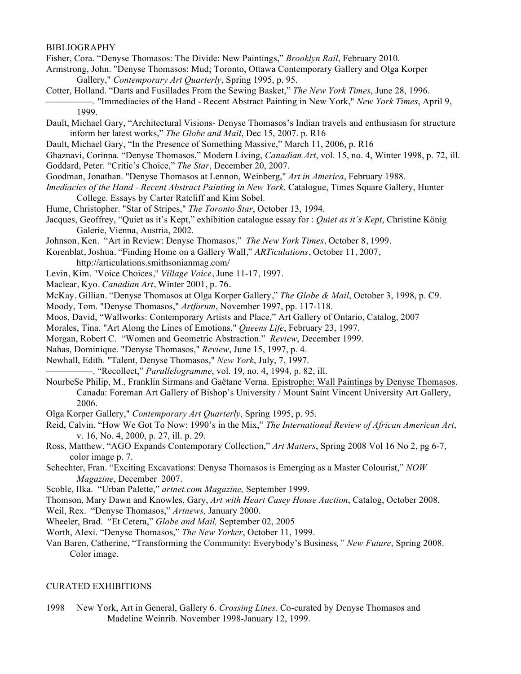#### BIBLIOGRAPHY

Fisher, Cora. "Denyse Thomasos: The Divide: New Paintings," *Brooklyn Rail*, February 2010.

- Armstrong, John. "Denyse Thomasos: Mud; Toronto, Ottawa Contemporary Gallery and Olga Korper Gallery," *Contemporary Art Quarterly*, Spring 1995, p. 95.
- Cotter, Holland. "Darts and Fusillades From the Sewing Basket," *The New York Times*, June 28, 1996. —————. "Immediacies of the Hand - Recent Abstract Painting in New York," *New York Times*, April 9, 1999.
- Dault, Michael Gary, "Architectural Visions- Denyse Thomasos's Indian travels and enthusiasm for structure inform her latest works," *The Globe and Mail*, Dec 15, 2007. p. R16
- Dault, Michael Gary, "In the Presence of Something Massive," March 11, 2006, p. R16
- Ghaznavi, Corinna. "Denyse Thomasos," Modern Living, *Canadian Art*, vol. 15, no. 4, Winter 1998, p. 72, ill.
- Goddard, Peter. "Critic's Choice," *The Star*, December 20, 2007.
- Goodman, Jonathan. "Denyse Thomasos at Lennon, Weinberg," *Art in America*, February 1988.
- *Imediacies of the Hand - Recent Abstract Painting in New York*. Catalogue, Times Square Gallery, Hunter College. Essays by Carter Ratcliff and Kim Sobel.
- Hume, Christopher. "Star of Stripes," *The Toronto Star*, October 13, 1994.
- Jacques, Geoffrey, "Quiet as it's Kept," exhibition catalogue essay for : *Quiet as it's Kept*, Christine König Galerie, Vienna, Austria, 2002.
- Johnson, Ken. "Art in Review: Denyse Thomasos," *The New York Times*, October 8, 1999.

Korenblat, Joshua. "Finding Home on a Gallery Wall," *ARTiculations*, October 11, 2007,

- http://articulations.smithsonianmag.com/
- Levin, Kim. "Voice Choices," *Village Voice*, June 11-17, 1997.
- Maclear, Kyo. *Canadian Art*, Winter 2001, p. 76.
- McKay, Gillian. "Denyse Thomasos at Olga Korper Gallery," *The Globe & Mail*, October 3, 1998, p. C9.
- Moody, Tom. "Denyse Thomasos," *Artforum*, November 1997, pp. 117-118.
- Moos, David, "Wallworks: Contemporary Artists and Place," Art Gallery of Ontario, Catalog, 2007
- Morales, Tina. "Art Along the Lines of Emotions," *Queens Life*, February 23, 1997.
- Morgan, Robert C. "Women and Geometric Abstraction." *Review*, December 1999.
- Nahas, Dominique. "Denyse Thomasos," *Review*, June 15, 1997, p. 4.
- Newhall, Edith. "Talent, Denyse Thomasos," *New York*, July, 7, 1997.
	- —————. "Recollect," *Parallelogramme*, vol. 19, no. 4, 1994, p. 82, ill.
- NourbeSe Philip, M., Franklin Sirmans and Gaëtane Verna. Epistrophe: Wall Paintings by Denyse Thomasos. Canada: Foreman Art Gallery of Bishop's University / Mount Saint Vincent University Art Gallery, 2006.
- Olga Korper Gallery," *Contemporary Art Quarterly*, Spring 1995, p. 95.
- Reid, Calvin. "How We Got To Now: 1990's in the Mix," *The International Review of African American Art*, v. 16, No. 4, 2000, p. 27, ill. p. 29.
- Ross, Matthew. "AGO Expands Contemporary Collection," *Art Matters*, Spring 2008 Vol 16 No 2, pg 6-7, color image p. 7.
- Schechter, Fran. "Exciting Excavations: Denyse Thomasos is Emerging as a Master Colourist," *NOW Magazine*, December 2007.
- Scoble, Ilka. "Urban Palette," *artnet.com Magazine,* September 1999.
- Thomson, Mary Dawn and Knowles, Gary, *Art with Heart Casey House Auction*, Catalog, October 2008.
- Weil, Rex. "Denyse Thomasos," *Artnews*, January 2000.
- Wheeler, Brad. "Et Cetera," *Globe and Mail,* September 02, 2005
- Worth, Alexi. "Denyse Thomasos," *The New Yorker*, October 11, 1999.
- Van Baren, Catherine, "Transforming the Community: Everybody's Business*," New Future*, Spring 2008. Color image.

#### CURATED EXHIBITIONS

1998 New York, Art in General, Gallery 6. *Crossing Lines*. Co-curated by Denyse Thomasos and Madeline Weinrib. November 1998-January 12, 1999.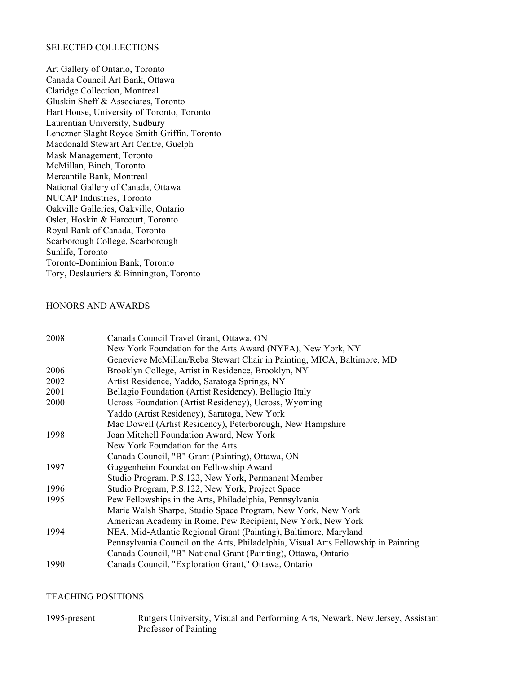# SELECTED COLLECTIONS

Art Gallery of Ontario, Toronto Canada Council Art Bank, Ottawa Claridge Collection, Montreal Gluskin Sheff & Associates, Toronto Hart House, University of Toronto, Toronto Laurentian University, Sudbury Lenczner Slaght Royce Smith Griffin, Toronto Macdonald Stewart Art Centre, Guelph Mask Management, Toronto McMillan, Binch, Toronto Mercantile Bank, Montreal National Gallery of Canada, Ottawa NUCAP Industries, Toronto Oakville Galleries, Oakville, Ontario Osler, Hoskin & Harcourt, Toronto Royal Bank of Canada, Toronto Scarborough College, Scarborough Sunlife, Toronto Toronto-Dominion Bank, Toronto Tory, Deslauriers & Binnington, Toronto

### HONORS AND AWARDS

| Canada Council Travel Grant, Ottawa, ON                                            |
|------------------------------------------------------------------------------------|
| New York Foundation for the Arts Award (NYFA), New York, NY                        |
| Genevieve McMillan/Reba Stewart Chair in Painting, MICA, Baltimore, MD             |
| Brooklyn College, Artist in Residence, Brooklyn, NY                                |
| Artist Residence, Yaddo, Saratoga Springs, NY                                      |
| Bellagio Foundation (Artist Residency), Bellagio Italy                             |
| Ucross Foundation (Artist Residency), Ucross, Wyoming                              |
| Yaddo (Artist Residency), Saratoga, New York                                       |
| Mac Dowell (Artist Residency), Peterborough, New Hampshire                         |
| Joan Mitchell Foundation Award, New York                                           |
| New York Foundation for the Arts                                                   |
| Canada Council, "B" Grant (Painting), Ottawa, ON                                   |
| Guggenheim Foundation Fellowship Award                                             |
| Studio Program, P.S.122, New York, Permanent Member                                |
| Studio Program, P.S.122, New York, Project Space                                   |
| Pew Fellowships in the Arts, Philadelphia, Pennsylvania                            |
| Marie Walsh Sharpe, Studio Space Program, New York, New York                       |
| American Academy in Rome, Pew Recipient, New York, New York                        |
| NEA, Mid-Atlantic Regional Grant (Painting), Baltimore, Maryland                   |
| Pennsylvania Council on the Arts, Philadelphia, Visual Arts Fellowship in Painting |
| Canada Council, "B" National Grant (Painting), Ottawa, Ontario                     |
| Canada Council, "Exploration Grant," Ottawa, Ontario                               |
|                                                                                    |

# TEACHING POSITIONS

| 1995-present | Rutgers University, Visual and Performing Arts, Newark, New Jersey, Assistant |
|--------------|-------------------------------------------------------------------------------|
|              | Professor of Painting                                                         |